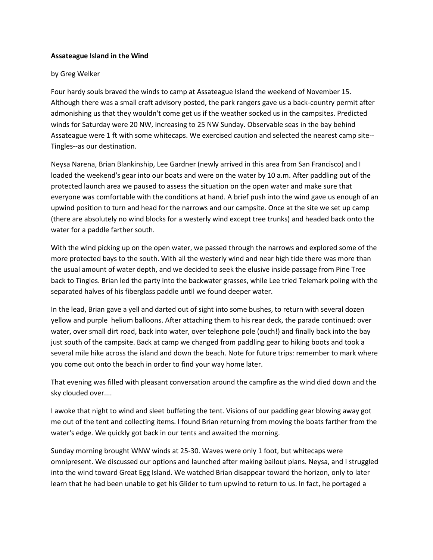## **Assateague Island in the Wind**

## by Greg Welker

Four hardy souls braved the winds to camp at Assateague Island the weekend of November 15. Although there was a small craft advisory posted, the park rangers gave us a back-country permit after admonishing us that they wouldn't come get us if the weather socked us in the campsites. Predicted winds for Saturday were 20 NW, increasing to 25 NW Sunday. Observable seas in the bay behind Assateague were 1 ft with some whitecaps. We exercised caution and selected the nearest camp site-- Tingles--as our destination.

Neysa Narena, Brian Blankinship, Lee Gardner (newly arrived in this area from San Francisco) and I loaded the weekend's gear into our boats and were on the water by 10 a.m. After paddling out of the protected launch area we paused to assess the situation on the open water and make sure that everyone was comfortable with the conditions at hand. A brief push into the wind gave us enough of an upwind position to turn and head for the narrows and our campsite. Once at the site we set up camp (there are absolutely no wind blocks for a westerly wind except tree trunks) and headed back onto the water for a paddle farther south.

With the wind picking up on the open water, we passed through the narrows and explored some of the more protected bays to the south. With all the westerly wind and near high tide there was more than the usual amount of water depth, and we decided to seek the elusive inside passage from Pine Tree back to Tingles. Brian led the party into the backwater grasses, while Lee tried Telemark poling with the separated halves of his fiberglass paddle until we found deeper water.

In the lead, Brian gave a yell and darted out of sight into some bushes, to return with several dozen yellow and purple helium balloons. After attaching them to his rear deck, the parade continued: over water, over small dirt road, back into water, over telephone pole (ouch!) and finally back into the bay just south of the campsite. Back at camp we changed from paddling gear to hiking boots and took a several mile hike across the island and down the beach. Note for future trips: remember to mark where you come out onto the beach in order to find your way home later.

That evening was filled with pleasant conversation around the campfire as the wind died down and the sky clouded over....

I awoke that night to wind and sleet buffeting the tent. Visions of our paddling gear blowing away got me out of the tent and collecting items. I found Brian returning from moving the boats farther from the water's edge. We quickly got back in our tents and awaited the morning.

Sunday morning brought WNW winds at 25-30. Waves were only 1 foot, but whitecaps were omnipresent. We discussed our options and launched after making bailout plans. Neysa, and I struggled into the wind toward Great Egg Island. We watched Brian disappear toward the horizon, only to later learn that he had been unable to get his Glider to turn upwind to return to us. In fact, he portaged a